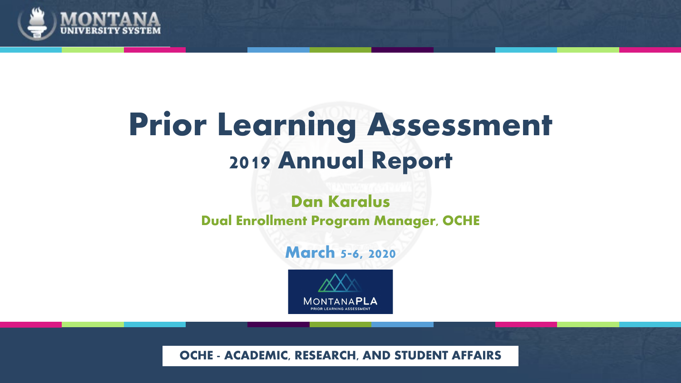

# **Prior Learning Assessment 2019 Annual Report**

#### **Dan Karalus Dual Enrollment Program Manager, OCHE**

#### **March 5-6, 2020**



**OCHE - ACADEMIC, RESEARCH, AND STUDENT AFFAIRS**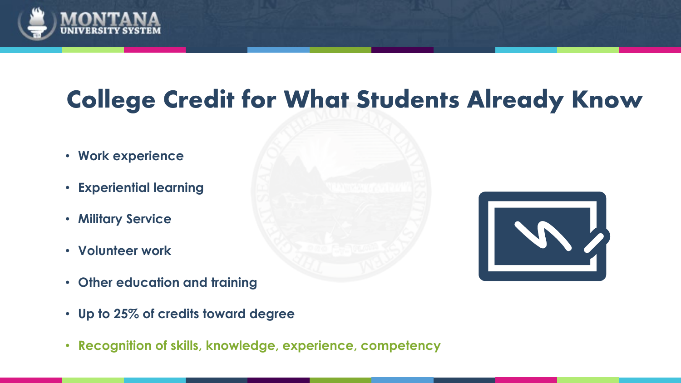

## **College Credit for What Students Already Know**

- **Work experience**
- **Experiential learning**
- **Military Service**
- **Volunteer work**
- **Other education and training**
- **Up to 25% of credits toward degree**
- **Recognition of skills, knowledge, experience, competency**

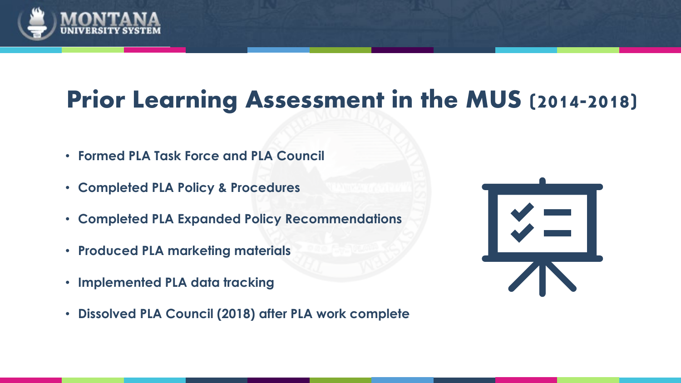

### **Prior Learning Assessment in the MUS (2014-2018)**

- **Formed PLA Task Force and PLA Council**
- **Completed PLA Policy & Procedures**
- **Completed PLA Expanded Policy Recommendations**
- **Produced PLA marketing materials**
- **Implemented PLA data tracking**
- **Dissolved PLA Council (2018) after PLA work complete**

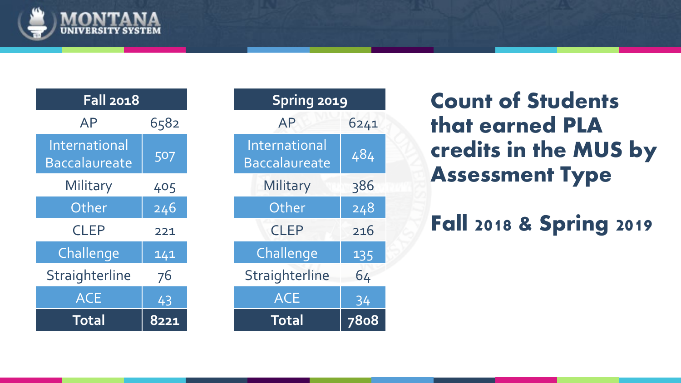

| <b>Fall 2018</b>                      |      | Spring 2019                                  |     |
|---------------------------------------|------|----------------------------------------------|-----|
| <b>AP</b>                             | 6582 | <b>AP</b>                                    | 624 |
| International<br><b>Baccalaureate</b> | 507  | <b>International</b><br><b>Baccalaureate</b> | 484 |
| Military                              | 405  | Military                                     | 386 |
| Other                                 | 246  | Other                                        | 24  |
| <b>CLEP</b>                           | 221  | <b>CLEP</b>                                  | 216 |
| Challenge                             | 141  | Challenge                                    | 135 |
| Straighterline                        | 76   | Straighterline                               | 64  |
| <b>ACE</b>                            | 43   | <b>ACE</b>                                   | 34  |
| <b>Total</b>                          | 8221 | <b>Total</b>                                 | 780 |

| <b>Fall 2018</b>                    |      | <b>Spring 2019</b>                           |              |
|-------------------------------------|------|----------------------------------------------|--------------|
| <b>AP</b>                           | 6582 | <b>AP</b>                                    | 6241         |
| <b>iternational</b><br>accalaureate | 507  | <b>International</b><br><b>Baccalaureate</b> | 484          |
| Military                            | 405  | Military                                     | 386          |
| Other                               | 246  | Other                                        | 248          |
| <b>CLEP</b>                         | 221  | <b>CLEP</b>                                  | 216          |
| Challenge                           | 141  | Challenge                                    | 135          |
| raighterline                        | 76   | Straighterline                               | 64           |
| <b>ACE</b>                          | 43   | <b>ACE</b>                                   | 34           |
| <b>Total</b>                        | 8221 | <b>Total</b>                                 | 78o <u>8</u> |

**Count of Students that earned PLA credits in the MUS by Assessment Type**

**Fall 2018 & Spring 2019**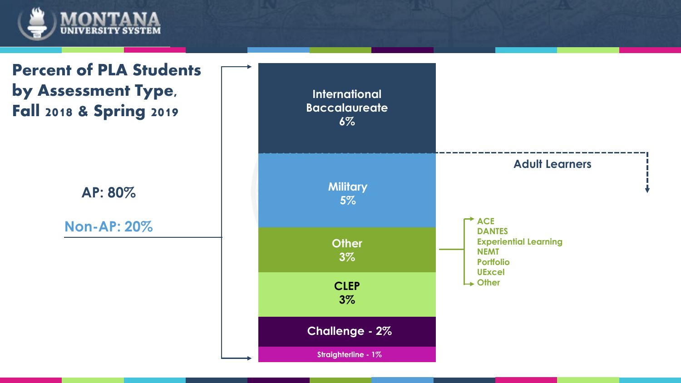

**Percent of PLA Students by Assessment Type, Fall 2018 & Spring 2019**

**AP: 80%**

**Non-AP: 20%**

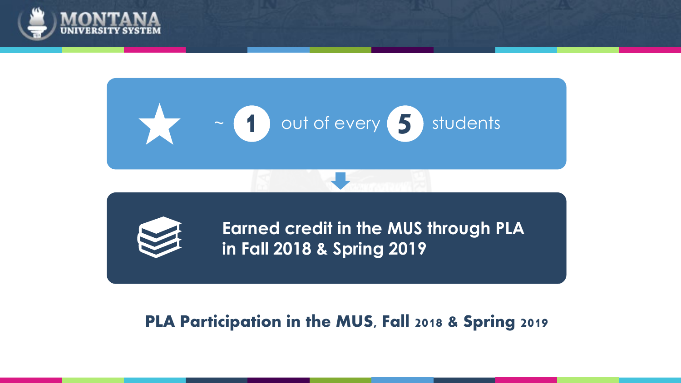



#### **PLA Participation in the MUS, Fall 2018 & Spring 2019**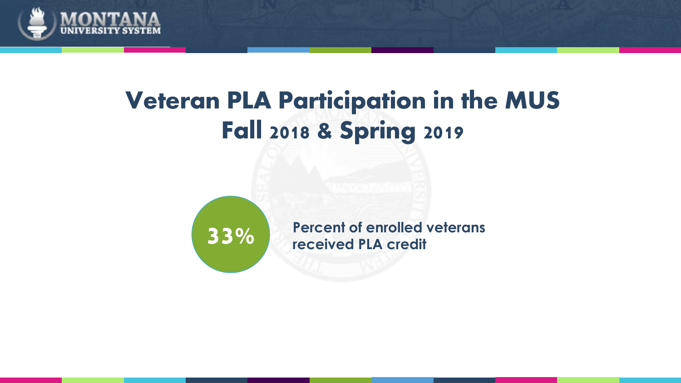

### **Veteran PLA Participation in the MUS Fall 2018 & Spring 2019**



**33%** Percent of enrolled veterans **received PLA credit**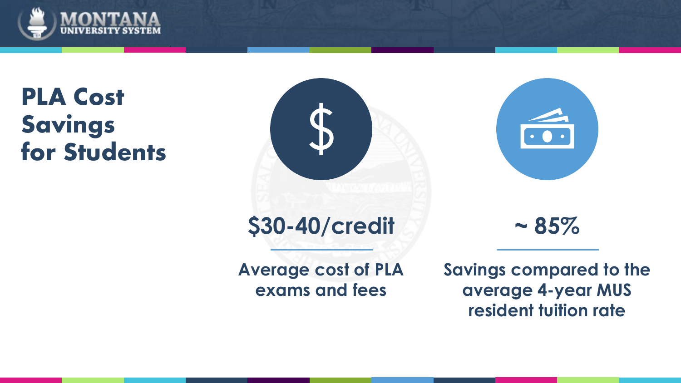

#### **PLA Cost Savings for Students**





**~ 85%**

**Average cost of PLA exams and fees**

**Savings compared to the average 4-year MUS resident tuition rate**